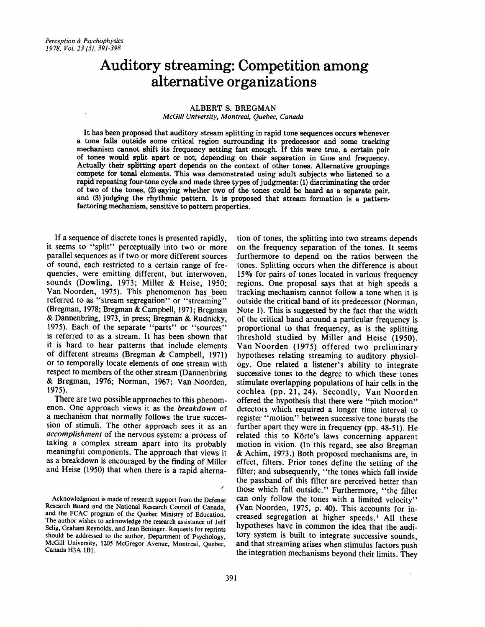# **Auditory streaming: Competition among alternative organizations**

# ALBERT **S.** BREGMAN

*McGill University, Montreal Quebec, Canada*

It has been proposed that auditory stream splitting in rapid tone sequences occurs whenever a tone falls outside some critical region surrounding its predecessor and some tracking mechanism cannot shift its frequency setting fast enough. If this were true, a certain pair of tones would split apart or not, depending on their separation in time and frequency. Actually their splitting apart depends on the context of other tones. Alternative groupings compete for tonal elements. This was demonstrated using adult subjects who listened to a rapid repeating four-tone cycle and made three types of judgments: 11} discriminating the order of two of the tones, {2} saying whether two of the tones could be heard as a separate pair, and {3} judging the rhythmic pattern. It is proposed that stream formation is a patternfactoring mechanism, sensitive to pattern properties.

If a sequence of discrete tones is presented rapidly, it seems to "split" perceptually into two or more parallel sequences as if two or more different sources of sound, each restricted to a certain range of frequencies, were emitting different, but interwoven, sounds (Dowling, 1973; Miller & Heise, 1950; Van Noorden, 1975). This phenomenon has been referred to as "stream segregation" or "streaming" (Bregman, 1978; Bregman & Campbell, 1971; Bregman & Dannenbring, 1973, in press; Bregman & Rudnicky, 1975). Each of the separate "parts" or "sources" is referred to as a stream. It has been shown that it is hard to hear patterns that include elements of different streams (Bregman & Campbell, 1971) or to temporally locate elements of one stream with respect to members of the other stream (Dannenbring & Bregman, 1976; Norman, 1967; Van Noorden, 1975).

There are two possible approaches to this phenomenon. One approach views it as the *breakdown* of a mechanism that normally follows the true succession of stimuli. The other approach sees it as an *accomplishment* of the nervous system: a process of taking a complex stream apart into its probably meaningful components. The approach that views it as a breakdown is encouraged by the finding of Miller and Heise (1950) that when there is a rapid alternation of tones, the splitting into two streams depends on the frequency separation of the tones. It seems furthermore to depend on the ratios between the tones. Splitting occurs when the difference is about 15% for pairs of tones located in various frequency regions. One proposal says that at high speeds a tracking mechanism cannot follow a tone when it is outside the critical band of its predecessor (Norman, Note 1). This is suggested by the fact that the width of the critical band around a particular frequency is proportional to that frequency, as is the splitting threshold studied by Miller and Heise (1950). Van Noorden (1975) offered two preliminary hypotheses relating streaming to auditory physiology. One related a listener's ability to integrate successive tones to the degree to which these tones stimulate overlapping populations of hair cells in the cochlea (pp. 21, 24). Secondly, Van Noorden offered the hypothesis that there were "pitch motion" detectors which required a longer time interval to register "motion" between successive tone bursts the further apart they were in frequency (pp. 48-51). He related this to Körte's laws concerning apparent motion in vision. (In this regard, see also Bregman & Achim, 1973.) Both proposed mechanisms are, in effect, filters. Prior tones define the setting of the filter; and subsequently, "the tones which fall inside the passband of this filter are perceived better than those which fall outside." Furthermore, "the filter can only follow the tones with a limited velocity" (Van Noorden, 1975, p. 40). This accounts for increased segregation at higher speeds.<sup>1</sup> All these hypotheses have in common the idea that the auditory system is built to integrate successive sounds, and that streaming arises when stimulus factors push the integration mechanisms beyond their limits. They

Acknowledgment is made of research support from the Defense Research Board and the National Research Council of Canada, and the FCAC program of the Quebec Ministry of Education. The author wishes to acknowledge the research assistance of Jeff Selig, Graham Reynolds, and Jean Beninger. Requests for reprints should be addressed to the author, Department of Psychology, McGill University, 1205 McGregor Avenue, Montreal, Quebec, Canada H3A 1B1.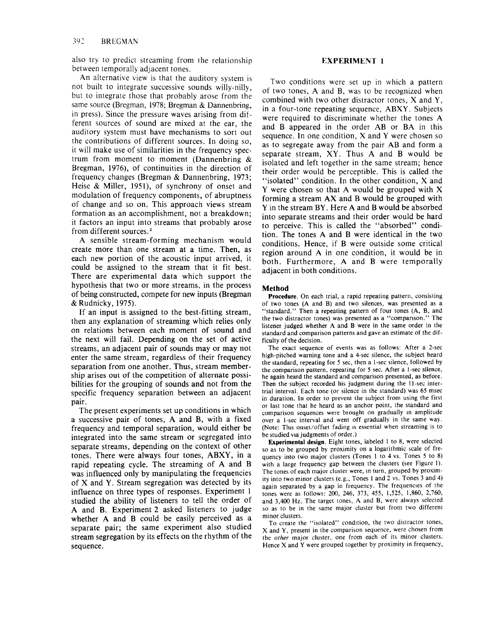also try to predict streaming from lhe relationship between temporally adjacent tones.

An alternative view is that the auditory system is not built to integrate successive sounds willy-nilly, but to integrate those that probably arose from the same source (Bregman, 1978; Bregman & Dannenbring, in press). Since the pressure waves arising from different sources of sound are mixed at the ear, the auditory system must have mechanisms to sort out the contributions of different sources. In doing so, it will make use of similarities in the frequency spectrum from moment to moment (Dannenbring & Bregman, 1976), of continuities in the direction of frequency changes (Bregman & Dannenbring, 1973; Heise & Miller, 1951), of synchrony of onset and modulation of frequency components, of abruptness of change and so on. This approach views stream formation as an accomplishment, not a breakdown; it factors an input into streams that probably arose from different sources.2

A sensible stream-forming mechanism would create more than one stream at a time. Then, as each new portion of the acoustic input arrived, it could be assigned to the stream that it fit best. There are experimental data which support the hypothesis that two or more streams., in the process of being constructed, compete for new inputs (Bregman & Rudnicky, 1975).

If an input is assigned to the best-fitting stream, then any explanation of streaming which relies only on relations between each moment of sound and the next will fail. Depending on the set of active streams, an adjacent pair of sounds may or may not enter the same stream, regardless of their frequency separation from one another. Thus, stream membership arises out of the competition of alternate possibilities for the grouping of sounds and not from the specific frequency separation between an adjacent pair.

The present experiments set up conditions in which a successive pair of tones, A and B, with a fixed frequency and temporal separation, would either be integrated into the same stream or segregated into separate streams, depending on the context of other tones. There were always four tones, ABXY, in a rapid repeating cycle. The streaming of A and B was influenced only by manipulating the frequencies of X and Y. Stream segregation was detected by its influence on three types of responses. Experiment 1 studied the ability of listeners to tel1 the order of A and B. Experiment 2 asked listeners to judge whether A and B could be easily perceived as a separate pair; the same experiment also studied stream segregation by its effects on the rhythm of the sequence.

# EXPERIMENT 1

Two conditions were set up in which a pattern of two tones, A and B, was to be recognized when combined with two other distractor tones, X and Y, in a four-tone repeating sequence, ABXY. Subjects were required to discriminate whether the tones A and B appeared in the order AB or BA in this sequence. In one condition, X and Y were chosen so as to segregate away from the pair AB and form a separate stream, XY. Thus A and B would be isolated and left together in the same stream; hence their order would be perceptible. This is called the "isolated" condition. In the other condition, X and Y were chosen so that A would be grouped with X forming a stream AX and B would be grouped with Y in the stream BY. Here A and B would be absorbed into separate streams and their order would be hard to perceive. This is called the "absorbed" condition. The tones A and B were identical in the two conditions. Hence, if B were outside some critical region around A in one condition, it would be in both. Furthermore, A and B were temporally adjacent in both conditions.

# **Method**

Procedure. On each trial, a rapid repeating pattern, consisting of two tones (A and B) and two silences, was presented as a "standard." Then a repeating pattern of four tones (A, B, and the two distractor tones) was presented as a "comparison." listener judged whether A and B were in the same order in the standard and comparison patterns and gave an estimate of the difficulty of the decision.

The exact sequence of events was as follows: After a 2-sec high-pitched warning tone and a 4-sec silence, the subject heard the standard, repeating for 5 sec, then a 1-sec silence, followed by the comparison pattern, repeating for 5 sec. After a 1-sec silence, he again heard the standard and comparison presented, as before. Then the subject recorded his judgment during the ll-sec intertrial interval. Each tone (or silence in the standard) was 65 msec in duration. In order to prevent the subject from using the first or last tone that he heard as an anchor point, the standard and comparison sequences were brought on gradually m amplitude over a l-sec interval and went off gradually in the same way. (Note: This onset/offset fading is essential when streaming is to be studied via judgments of order.)

Experimental design. Eight tones, labeled 1 to 8, were selected so as to be grouped by proximity on a logarithmic scale of frequency into two major clusters (Tones 1 to 4 vs. Tones 5 to 8) with a large frequency gap between the clusters (see Figure 1). The tones of each major cluster were, in turn, grouped by proximity into two minor clusters (e.g., Tones 1 and 2 vs. Tones 3 and 4) again separated by a gap in frequency. The frequencies of the tones were as follows: 200, 246, 373, 455, 1,525, 1,860, 2,760, and 3,400 Hz. The target tones, A and B, were always selected so as to be in the same major cluster but from two different minor clusters.

To create the "isolated" condition, the two distractor tones, X and Y, present in the comparison sequence, were chosen from the *other* major cluster, one from each of its minor clusters. Hence X and Y were grouped together by proximity in frequency,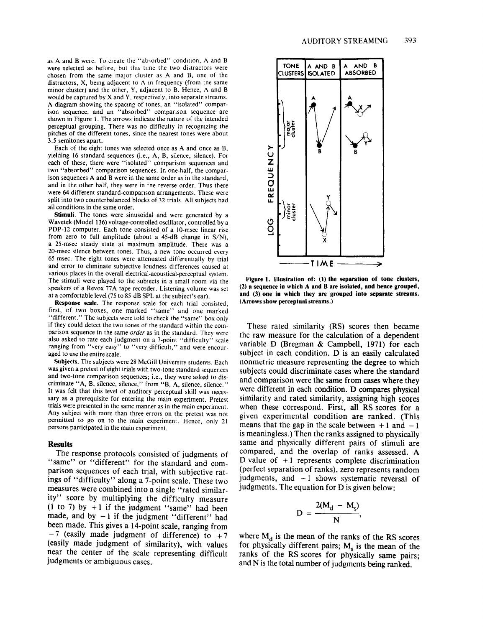as A and B were. To create the "absorbed" condition, A and B were selected as before, but this time the two distractors were chosen from the same major cluster as A and B, one of the distractors,  $X$ , being adjacent to  $A$  in frequency (from the same minor cluster) and the other, Y, adjacent to B. Hence, A and B would be captured by X and Y, respectively, into separate streams. A diagram showing the spaong of tones, an "isolated" comparison sequence, and an "absorbed" comparison sequence are shown in Figure 1. The arrows indicate the nature of the intended perceptual grouping. There was no difficulty in recogmzing the pitches of the different tones, since the nearest tones were about 3.5 semitones apart.

Each of the eight tones was selected once as A and once as B, yielding 16 standard sequences (i.e., A, B, silence, silence). For each of these, there were "isolated" comparison sequences and two "absorbed" comparison sequences. In one-half, the comparison sequences A and B were in the same order as in the standard, and in the other half, they were in the reverse order. Thus there were 64 different standard-comparison arrangements. These were split into two counterbalanced blocks of 32 trials. All subjects had all conditions in the same order.

**Stimuli.** The tones were sinusoidal and were generated by a Wavetek (Model 136) voltage-controlled oscillator, controlled by a PDP-12 computer. Each tone consisted of a 10-msec linear rise from zero to full amplitude (about a 45-dB change in S/N), a 25-msec steady state at maximum amplitude. There was a 20-msec silence between tones. Thus, a new tone occurred every 65 msec. The eight tones were attenuated differentially by trial and error to ehminate subjective loudness differences caused at various places in the overall electrical-acoustical-perceptual system. The stimuli were played to the sublects in a small room via the speakers of a Revox 77A tape recorder. Listening volume was set at a comfortable level (75 to 85 dB SPL at the subject's ear).

**Response scale.** The response scale for each trial consisted, first, of two boxes, one marked "same" and one marked "different." The subjects were told to check the "same" box only if they could detect the two tones of the standard within the comparison sequence in the same *order* as in the standard. They were also asked to rate each judgment on a 7-point "difficulty" scale ranging from "very easy" to "very difficult," and were encouraged to use the entire scale.

**Subjects.** The subjects were 28 McGill University students. Each was given a pretest of eight trials with two-tone standard sequences and two-tone comparison sequences; i.e., they were asked to discriminate "A, B, silence, silence," from "B, A, silence, silence." It was felt that this level of auditory perceptual skill was necessary as a prerequisite for entering the main experiment. Pretest trials were presented in the same manner as in the main experiment. Any subject with more than three errors on the pretest was not permitted to go on to the main experiment. Hence, only 21 persons participated in the main experiment.

#### **Results**

The response protocols consisted of judgments of "same" or "different" for the standard and comparison sequences of each trial, with subjective ratings of "difficulty" along a 7-point scale. These two measures were combined into a single "rated similarity" score by multiplying the difficulty measure **(1 to 7) by + 1 if the judgment "same" had been** made, and by  $-1$  if the judgment "different" had **been made. This gives a 14-point scale, ranging from**  $-7$  (easily made judgment of difference) to  $+7$ (easily made judgment of similarity), with values near the center of the scale representing difficult judgments or ambiguous cases.



Figure 1. Illustration of: (1) the separation of tone clusters, **(2) a sequence in which A and B are isolated, and hence grouped, and (3)one in which they are grouped into separate streams. (Arrows show perceptual streams.)**

These rated similarity (RS) scores then became the raw measure for the calculation of a dependent variable D (Bregman & Campbell, 1971) for each subject in each condition. D is an easily calculated nonmetric measure representing the degree to which subjects could discriminate cases where the standard and comparison were the same from cases where they were different in each condition. D compares physical similarity and rated similarity, assigning high scores when these correspond. First, all RS scores for a given experimental condition are ranked. (This means that the gap in the scale between  $+1$  and  $-1$ is meaningless.) Then the ranks assigned to physically same and physically different pairs of stimuli are compared, and the overlap of ranks assessed. A D value of  $+1$  represents complete discrimination (perfect separation of ranks), zero represents random judgments, and  $-1$  shows systematic reversal of judgments. The equation for D is given below:

$$
D = \frac{2(M_d - M_s)}{N},
$$

where  $M_d$  is the mean of the ranks of the RS scores for physically different pairs;  $M_s$  is the mean of the ranks of the RS scores for physically same pairs; and N is the total number of judgments being ranked.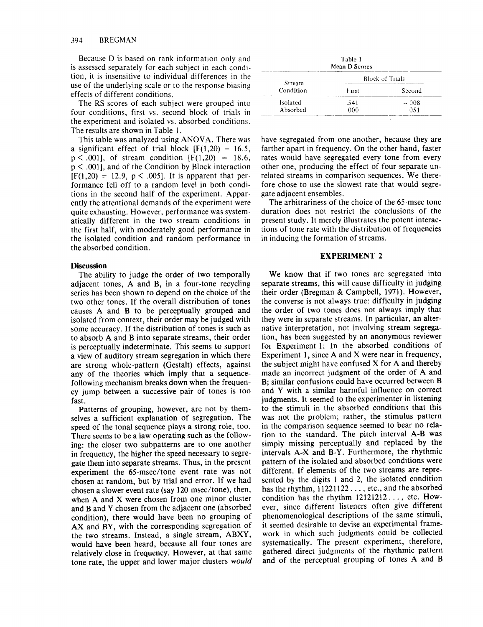Because D is based on rank information only and is assessed separately for each subject in each condition, it is insensitive to individual differences in the use of the underlying scale or to the response biasing effects of different conditions.

The RS scores of each subject were grouped into four conditions, first vs. second block of trials in the experiment and isolated vs. absorbed conditions. The results are shown in Table 1.

This table was analyzed using ANOVA. There was a significant effect of trial block  $[F(1,20) = 16.5]$ ,  $p < .001$ , of stream condition  $[F(1,20) = 18.6,$  $p < .001$ , and of the Condition by Block interaction  $[F(1,20) = 12.9, p \le .005]$ . It is apparent that performance fell off to a random level in both conditions in the second half of the experiment. Apparently the attentional demands of the experiment were quite exhausting. However, performance was systematically different in the two stream conditions in the first half, with moderately good performance in the isolated condition and random performance in the absorbed condition.

# **Discussion**

The ability to judge the order of two temporally adjacent tones, A and B, in a four-tone recycling series has been shown to depend on the choice of the two other tones. If the overall distribution of tones causes A and B to be perceptually grouped and isolated from context, their order may be judged with some accuracy. If the distribution of tones is such as to absorb A and B into separate streams, their order is perceptually indeterminate. This seems to support a view of auditory stream segregation in which there are strong whole-pattern (Gestalt) effects, against any of the theories which imply that a sequencefollowing mechanism breaks down when the frequency jump between a successive pair of tones is too fast.

Patterns of grouping, however, are not by themselves a sufficient explanation of segregation. The speed of the tonal sequence plays a strong role, too. There seems to be a law operating such as the following: the closer two subpatterns are to one another in frequency, the higher the speed necessary to segregate them into separate streams. Thus, in the present experiment the 65-msec/tone event rate was not chosen at random, but by trial and error. If we had chosen a slower event rate (say 120 msec/tone), then, when A and X were chosen from one minor cluster and B and Y chosen from the adjacent one (absorbed condition), there would have been no grouping of AX and BY, with the corresponding segregation of the two streams. Instead, a single stream, ABXY, would have been heard, because all four tones are relatively close in frequency. However, at that same tone rate, the upper and lower major clusters *would*

| Table 1<br>Mean D Scores |                        |          |  |  |  |  |
|--------------------------|------------------------|----------|--|--|--|--|
| Stream                   | <b>Block of Trials</b> |          |  |  |  |  |
| Condition                | l·irst                 | Second   |  |  |  |  |
| Isolated                 | .541                   | $-008$   |  |  |  |  |
| Absorbed                 | იიი                    | $= 0.51$ |  |  |  |  |

have segregated from one another, because they are farther apart in frequency. On the other hand, faster rates would have segregated every tone from every other one, producing the effect of four separate unrelated streams in comparison sequences. We therefore chose to use the slowest rate that would segregate adjacent ensembles.

The arbitrariness of the choice of the 65-msec tone duration does not restrict the conclusions of the present study. It merely illustrates the potent interactions of tone rate with the distribution of frequencies in inducing the formation of streams.

## **EXPERIMENT 2**

We know that if two tones are segregated into separate streams, this will cause difficulty in judging their order (Bregman & Campbell, 1971). However, the converse is not always true: difficulty in judging the order of two tones does not always imply that they were in separate streams. In particular, an alternative interpretation, not involving stream segregation, has been suggested by an anonymous reviewer for Experiment 1: In the absorbed conditions of Experiment 1, since A and X were near in frequency, the subject might have confused X for A and thereby made an incorrect judgment of the order of A and B; similar confusions could have occurred between B and Y with a similar harmful influence on correct judgments. It seemed to the experimenter in listening to the stimuli in the absorbed conditions that this was not the problem; rather, the stimulus pattern in the comparison sequence seemed to bear no relation to the standard. The pitch interval A-B was simply missing perceptually and replaced by the intervals A-X and B-Y. Furthermore, the rhythmic pattern of the isolated and absorbed conditions were different. If elements of the two streams are represented by the digits 1 and 2, the isolated condition has the rhythm, 11221122 .... etc., and the absorbed condition has the rhythm 12121212 .... etc. However, since different listeners often give different pbenomenological descriptions of the same stimuli, it seemed desirable to devise an experimental framework in which such judgments could be collected systematically. The present experiment, therefore, gathered direct judgments of the rhythmic pattern and of the perceptual grouping of tones A and B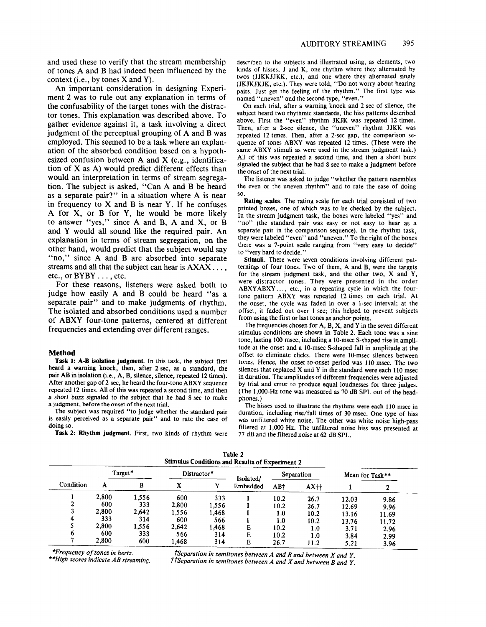and used these to verify that the stream membership of tones A and B had indeed been influenced by the context (i.e., by tones X and Y).

An important consideration in designing Experiment 2 was to rule out any explanation in terms of the confusability of the target tones with the distractor tones. This explanation was described above. To gather evidence against it, a task involving a direct judgment of the perceptual grouping of A and B was employed. This seemed to be a task where an explanation of the absorbed condition based on a hypothesized confusion between A and X (e.g., identification of X as A) would predict different effects than would an interpretation in terms of stream segregation. The subject is asked, "Can A and B be heard as a separate pair?" in a situation where A is near in frequency to  $X$  and  $B$  is near  $Y$ . If he confuses A for X, or B for Y, he would be more likely to answer "yes," since A and B, A and X, or B and Y would all sound like the required pair. An explanation in terms of stream segregation, on the other hand, would predict that the subject would say "no," since A and B are absorbed into separate streams and all that the subject can hear is  $AXAX \dots$ , etc., or BYBY..., etc.

For these reasons, listeners were asked both to judge how easily A and B could be heard "as a separate pair" and to make judgments of rhythm. The isolated and absorbed conditions used a number of ABXY four-tone patterns, centered at different frequencies and extending over different ranges.

#### **Method**

**Task 1: A-B isolation judgment.** In this task, the subject first heard a warning knock, then, after 2 sec, as a standard, the pair AB in isolation (i.e., A, B, silence, silence, repeated 12 times). After another gap of 2 sec, he heard **the four-tone** ABXY sequence repeated 12 times. All of this was repeated a second time, and then a short buzz signaled to the subject that he had 8 sec to make a judgment, before the onset of the next trial.

The subject was required "to judge whether the standard pair is easily perceived as a separate pair" and to rate the ease of doing so.

**Task 2: Rhythm judgment. First, two** kinds of rhythm were

described to the subjects and illustrated using, as elements, two kinds of hisses, J and K, one rhythm where they alternated by twos (JJKKJJKK, etc.), and one where they alternated singly (JKJKJKJK, etc.). They were told, "Do not worry about hearing pairs. Just get the feeling of the rhythm." The first type was named "uneven" and the second type, "even."

On each trial, after a warning knock and 2 sec of silence, the subject heard two rhythmic standards, the hiss patterns described above. First the "even" rhythm JKJK was repeated 12 times. Then, after a 2-sec silence, the "uneven" rhythm JJKK was repeated 12 times. Then, after a 2-sec gap, the comparison sequence of tones ABXY was repeated 12 times. (These were the same ABXY stimuli as were used in the stream judgment task.) All of this was repeated a second time, and then a short buzz signaled the subject that he had 8 sec to make a judgment before the onset of the next trial.

The listener was asked to judge "whether the pattern resembles the even or the uneven rhythm" and to rate the ease of doing SO.

**Rating scales.** The rating scale for each trial consisted of two printed boxes, one of which was to be checked by the subject. In the stream judgment task, the boxes were labeled "yes" and "no" (the standard pair was easy or not easy to hear as a separate pair in the comparison sequence). In the rhythm task, they were labeled "even" and "uneven." To the right of the boxes there was a 7-point scale ranging from "very easy to decide" to "very hard to decide."

**Stimuli.** There were seven conditions involving different patternings of four tones. Two of them, A and B, were the targets for the stream judgment task, and the other two, X and Y, were distractor tones. They were presented in the order ABXYABXY .... etc., in a repeating cycle in which the fourtone pattern ABXY was repeated 12 times on each trial. At the onset, the cycle was faded in over a 1-sec interval; at the offset, it faded out over 1 sec; this helped to prevent subjects from using the first or last tones as anchor points.

The frequencies chosen for A, B, X, and Y in the seven different stimulus conditions are shown in Table 2. Each tone was a sine tone, lasting 100 msec, including a 10-msec S-shaped rise in amplitude at the onset and a 10-msec S-shaped fall in amplitude at the offset to eliminate clicks. There were 10-msec silences between tones. Hence, the onset-to-onset period was 110 msec. The two silences that replaced X and Y in the standard were each 110 msec in duration. The amplitudes of different frequencies were adjusted by trial and error to produce equal loudnesses for three judges. (The 1,000-Hz tone was measured as 70 dB SPL out of the headphones.)

The hisses used to illustrate the rhythms were each 110 msec in duration, including rise/fall times of 30 msec. One type of hiss was unfiltered white noise. The other was white noise high-pass filtered at 1,000 Hz. The unfiltered noise hiss was presented at 77 dB and the filtered noise at 62 dB SPL.

| Table 2                                                |  |  |  |  |  |  |  |
|--------------------------------------------------------|--|--|--|--|--|--|--|
| <b>Stimulus Conditions and Results of Experiment 2</b> |  |  |  |  |  |  |  |

| Condition | Target* |       | Distractor* |        | Isolated/ | Separation |        | Mean for Task** |       |
|-----------|---------|-------|-------------|--------|-----------|------------|--------|-----------------|-------|
|           | А       | в     |             |        | Embedded  | AB+        | $AX++$ |                 |       |
|           | 2,800   | 1,556 | 600         | 333    |           | 10.2       | 26.7   | 12.03           | 9.86  |
|           | 600     | 333   | 2,800       | 1.556  |           | 10.2       | 26.7   | 12.69           | 9.96  |
|           | 2.800   | 2,642 | 1.556       | 1,468  |           | 1.0        | 10.2   | 13.16           | 11.69 |
|           | 333     | 314   | 600         | 566    |           | 1.0        | 10.2   | 13.76           | 11.72 |
|           | 2,800   | 1,556 | 2,642       | l ,468 | E         | 10.2       | 1.0    | 3.71            | 2.96  |
| O         | 600     | 333   | 566         | 314    | E         | 10.2       | 1.0    | 3.84            | 2.99  |
|           | 2,800   | 600   | 1,468       | 314    | E         | 26.7       | 11.2   | 5.21            | 3.96  |

*\*Frequency of tones in hertz, tSeparation in semitones between A and B and between X and Y. \*\*High scores indicate AB streaming. "~'Separation in semitones between A and X and between B and Y.*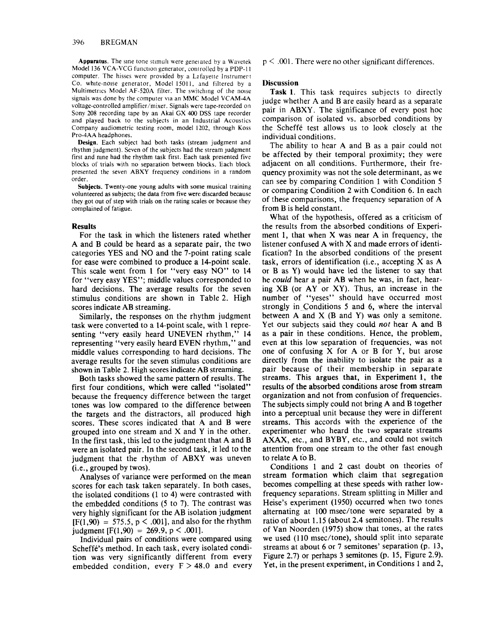Apparatus. The sine tone stimuli were generated by a Wavetek Model 136 VCA-VCG function generator, controlled by a PDP-11 computer. The hisses were provided by a Lafayette Instrument Co. white-noise generator, Model 15011, and filtered by a Multimetrics Model AF-520A filter. The switching of the noise signals was done by the computer via an MMC Model VCAM-4A voltage-controlled amplifier/mixer. Signals were tape-recorded on Sony 208 recording tape by an Akai GX 400 DSS tape recorder and played back to the subjects in an Industrial Acoustics Company audiometric testing room, model 1202, through Koss Pro-4AA headphones.

Design. Each subject had both tasks (stream judgment and rhythm judgment). Seven of the subjects had the stream judgment first and nine had the rhythm task first. Each task presented five blocks of trials with no separation between blocks. Each block presented the seven ABXY frequency conditions in a random order.

Subjects. Twenty-one young adults with some musical training volunteered as subjects; the data from five were discarded because they got out of step with trials on the rating scales or because they complained of fatigue.

#### **Results**

For the task in which the listeners rated whether A and B could be heard as a separate pair, the two categories YES and NO and the 7-point rating scale for ease were combined to produce a 14-point scale. This scale went from 1 for "very easy NO" to 14 for "very easy YES"; middle values corresponded to hard decisions. The average results for the seven stimulus conditions are shown in Fable 2. High scores indicate AB streaming.

Similarly, the responses on the rhythm judgment task were converted to a 14-point scale, with 1 representing "very easily heard UNEVEN rhythm," 14 representing "very easily heard EVEN rhythm," and middle values corresponding to hard decisions. The average results for the seven stimulus conditions are shown in Table 2. High scores indicate AB streaming.

Both tasks showed the same pattern of results. The first four conditions, which were called "isolated" because the frequency difference between the target tones was low compared to the difference between the targets and the distractors, all produced high scores. These scores indicated that A and B were grouped into one stream and X and Y in the other. In the first task, this led to the judgment that A and B were an isolated pair. In the second task, it led to the judgment that the rhythm of ABXY was uneven (i.e., grouped by twos).

Analyses of variance were performed on the mean scores for each task taken separately. In both cases, the isolated conditions (1 to 4) were contrasted with the embedded conditions (5 to 7). The contrast was very highly significant for the AB isolation judgment  $[F(1,90) = 575.5, p < .001]$ , and also for the rhythm judgment [F(1,90) = 269.9, p  $\leq$  .001].

Individual pairs of conditions were compared using Scheffé's method. In each task, every isolated condition was very significantly different from every embedded condition, every  $F > 48.0$  and every  $p < .001$ . There were no other significant differences.

## **Discussion**

**Task** 1. This task requires subjects to directly judge whether A and B are easily heard as a separate pair in ABXY. The significance of every post hoc comparison of isolated vs. absorbed conditions by the Scheffé test allows us to look closely at the individual conditions.

The ability to hear A and B as a pair could not be affected by their temporal proximity; they were adjacent on all conditions. Furthermore, their frequency proximity was not the sole determinant, as we can see by comparing Condition 1 with Condition 5 or comparing Condition 2 with Condition 6. In each of these comparisons, the frequency separation of A from B is held constant.

What of the hypothesis, offered as a criticism of the results from the absorbed conditions of Experiment 1, that when X was near A in frequency, the listener confused A with X and made errors of identification? In the absorbed conditions of the present task, errors of identification (i.e., accepting X as A or B as Y) would have led the listener to say that he *could* hear a pair AB when he was, in fact, hearing XB (or AY or XY). Thus, an increase in the number of "yeses" should have occurred most strongly in Conditions 5 and 6, where the interval between A and X  $(B \text{ and } Y)$  was only a semitone. Yet our subjects said they could *not* hear A and B as a pair in these conditions. Hence, the problem, even at this low separation of frequencies, was not one of confusing X for A or B for Y, but arose directly from the inability to isolate the pair as a pair because of their membership in separate streams. This argues that, in Experiment 1, the results of the absorbed conditions arose from stream organization and not from confusion of frequencies. The subjects simply could not bring A and B together into a perceptual unit because they were in different streams. This accords with the experience of the experimenter who heard the two separate streams AXAX, etc., and BYBY, etc., and could not switch attention from one stream to the other fast enough to relate A to B.

Conditions 1 and 2 cast doubt on theories of stream formation which claim that segregation becomes compelling at these speeds with rather lowfrequency separations. Stream splitting in Miller and Heise's experiment (1950) occurred when two tones alternating at 100 msec/tone were separated by a ratio of about 1.15 (about 2.4 semitones). The results of Van Noorden (1975) show that tones, at the rates we used (110 msec/tone), should split into separate streams at about 6 or 7 semitones' separation (p. 13, Figure 2.7) or perhaps 3 semitones (p. 15, Figure 2.9). Yet, in the present experiment, in Conditions 1 and 2,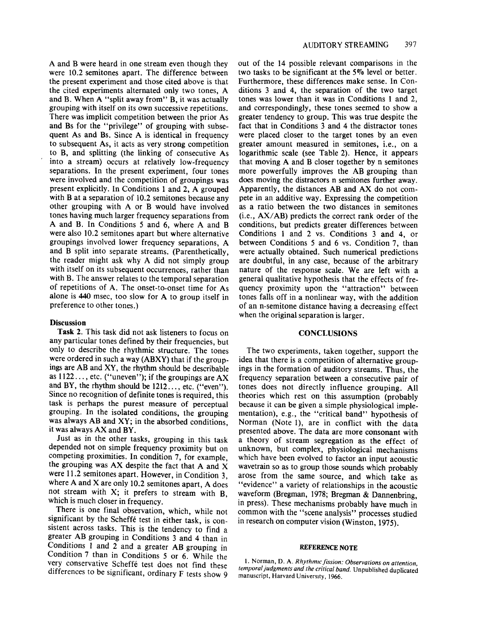A and B were heard in one stream even though they were 10.2 semitones apart. The difference between the present experiment and those cited above is that the cited experiments alternated only two tones, A and B. When A "split away from" B, it was actually grouping with itself on its own successive repetitions. There was implicit competition between the prior As and Bs for the "privilege" of grouping with subsequent As and Bs. Since A is identical in frequency to subsequent As, it acts as very strong competition to B, and splitting (the linking of consecutive As into a stream) occurs at relatively low-frequency separations. In the present experiment, four tones were involved and the competition of groupings was present explicitly. In Conditions 1 and 2, A grouped with B at a separation of 10.2 semitones because any other grouping with A or B would have involved tones having much larger frequency separations from A and B. In Conditions 5 and 6, where A and B were also 10.2 semitones apart but where alternative groupings involved lower frequency separations, A and B split into separate streams. (Parenthetically, the reader might ask why A did not simply group with itself on its subsequent occurrences, rather than with B. The answer relates to the temporal separation of repetitions of A. The onset-to-onset time for As alone is 440 msec, too slow for A to group itself in preference to other tones.)

## **Discussion**

**Task** 2. This task did not ask listeners to focus on any particular tones defined by their frequencies, but only to describe the rhythmic structure. The tones were ordered in such a way (ABXY) that if the groupings are AB and XY, the rhythm should be describable as  $1122...$ , etc. ("uneven"); if the groupings are AX and BY, the rhythm should be 1212..., etc. ("even"). Since no recognition of definite tones is required, this task is perhaps the purest measure of perceptual grouping. In the isolated conditions, the grouping was always AB and XY; in the absorbed conditions, it was always AX and BY.

Just as in the other tasks, grouping in this task depended not on simple frequency proximity but on competing proximities. In condition 7, for example, the grouping was AX despite the fact that A and X were 11.2 semitones apart. However, in Condition 3, where A and X are only 10.2 semitones apart, A does not stream with X; it prefers to stream with B, which is much closer in frequency.

There is one final observation, which, while not significant by the Scheffé test in either task, is consistent across tasks. This is the tendency to find a greater AB grouping in Conditions 3 and 4 than in Conditions 1 and 2 and a greater AB grouping in Condition 7 than in Conditions 5 or 6. While the very conservative Scheff6 test does not find these differences to be significant, ordinary F tests show 9 out of the 14 possible relevant comparisons in the two tasks to be significant at the 5% level or better. Furthermore, these differences make sense. In Conditions 3 and 4, the separation of the two target tones was lower than it was in Conditions 1 and 2, and correspondingly, these tones seemed to show a greater tendency to group. This was true despite the fact that in Conditions 3 and 4 the distractor tones were placed closer to the target tones by an even greater amount measured in semitones, i.e., on a logarithmic scale (see Table 2). Hence, it appears that moving A and B closer together by n semitones more powerfully improves the AB grouping than does moving the distractors n semitones further away. Apparently, the distances AB and AX do not compete in an additive way. Expressing the competition as a ratio between the two distances in semitones (i.e., AX/AB) predicts the correct rank order of the conditions, but predicts greater differences between Conditions 1 and 2 vs. Conditions 3 and 4, or between Conditions 5 and 6 vs. Condition 7, than were actually obtained. Such numerical predictions are doubtful, in any case, because of the arbitrary nature of the response scale. We are left with a general qualitative hypothesis that the effects of frequency proximity upon the "attraction" between tones falls off in a nonlinear way, with the addition of an n-semitone distance having a decreasing effect when the original separation is larger.

## **CONCLUSIONS**

The two experiments, taken together, support the idea that there is a competition of alternative groupings in the formation of auditory streams. Thus, the frequency separation between a consecutive pair of tones does not directly influence grouping. All theories which rest on this assumption (probably because it can be given a simple physiological implementation), e.g., the "critical band" hypothesis of Norman (Note 1), are in conflict with the data presented above. The data are more consonant with a theory of stream segregation as the effect of unknown, but complex, physiological mechanisms which have been evolved to factor an input acoustic wavetrain so as to group those sounds which probably arose from the same source, and which take as "evidence" a variety of relationships in the acoustic waveform (Bregman, 1978; Bregman & Dannenbring, in press). These mechanisms probably have much in common with the "scene analysis" processes studied in research on computer vision (Winston, 1975).

## REFERENCE NOTE

1. Norman, D. A. *Rhythmic fission: Observations on attention, temporal judgments and the critical band.* Unpublished duplicated manuscript, Harvard University, 1966.